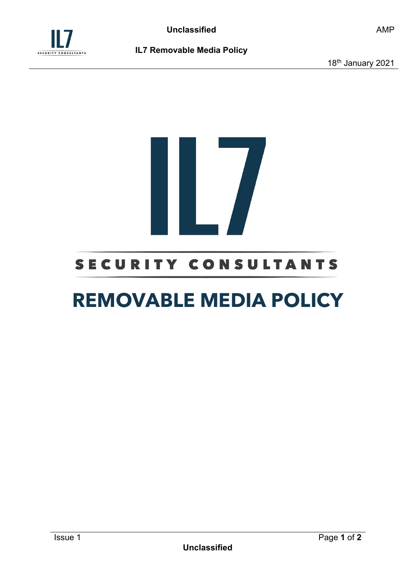

18<sup>th</sup> January 2021

# 

## SECURITY CONSULTANTS

# **REMOVABLE MEDIA POLICY**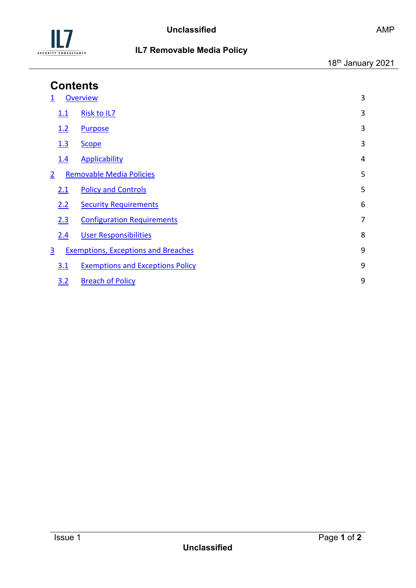

| <b>Contents</b> |            |                                            |   |  |  |
|-----------------|------------|--------------------------------------------|---|--|--|
|                 |            | <b>Overview</b>                            | 3 |  |  |
|                 | 1.1        | <b>Risk to IL7</b>                         | 3 |  |  |
|                 | 1.2        | <b>Purpose</b>                             | 3 |  |  |
|                 | 1.3        | <b>Scope</b>                               | 3 |  |  |
|                 | <u>1.4</u> | <b>Applicability</b>                       | 4 |  |  |
| $\overline{2}$  |            | <b>Removable Media Policies</b>            | 5 |  |  |
|                 | 2.1        | <b>Policy and Controls</b>                 | 5 |  |  |
|                 | 2.2        | <b>Security Requirements</b>               | 6 |  |  |
|                 | 2.3        | <b>Configuration Requirements</b>          | 7 |  |  |
|                 | 2.4        | <b>User Responsibilities</b>               | 8 |  |  |
| 3               |            | <b>Exemptions, Exceptions and Breaches</b> | 9 |  |  |
|                 | 3.1        | <b>Exemptions and Exceptions Policy</b>    | 9 |  |  |
|                 | 3.2        | <b>Breach of Policy</b>                    | 9 |  |  |
|                 |            |                                            |   |  |  |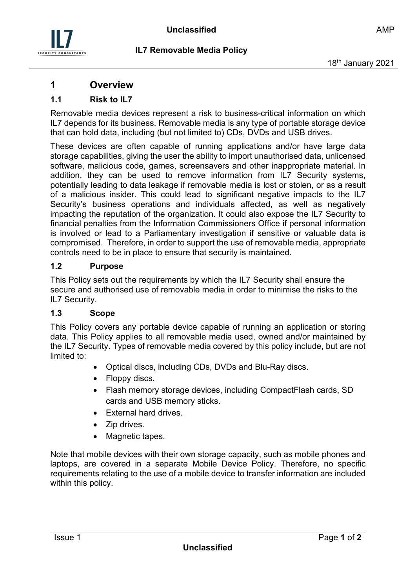

### <span id="page-2-0"></span>**1 Overview**

### <span id="page-2-1"></span>**1.1 Risk to IL7**

Removable media devices represent a risk to business-critical information on which IL7 depends for its business. Removable media is any type of portable storage device that can hold data, including (but not limited to) CDs, DVDs and USB drives.

These devices are often capable of running applications and/or have large data storage capabilities, giving the user the ability to import unauthorised data, unlicensed software, malicious code, games, screensavers and other inappropriate material. In addition, they can be used to remove information from IL7 Security systems, potentially leading to data leakage if removable media is lost or stolen, or as a result of a malicious insider. This could lead to significant negative impacts to the IL7 Security's business operations and individuals affected, as well as negatively impacting the reputation of the organization. It could also expose the IL7 Security to financial penalties from the Information Commissioners Office if personal information is involved or lead to a Parliamentary investigation if sensitive or valuable data is compromised. Therefore, in order to support the use of removable media, appropriate controls need to be in place to ensure that security is maintained.

### <span id="page-2-2"></span>**1.2 Purpose**

This Policy sets out the requirements by which the IL7 Security shall ensure the secure and authorised use of removable media in order to minimise the risks to the IL7 Security.

### <span id="page-2-3"></span>**1.3 Scope**

This Policy covers any portable device capable of running an application or storing data. This Policy applies to all removable media used, owned and/or maintained by the IL7 Security. Types of removable media covered by this policy include, but are not limited to:

- Optical discs, including CDs, DVDs and Blu-Ray discs.
- Floppy discs.
- Flash memory storage devices, including CompactFlash cards, SD cards and USB memory sticks.
- External hard drives.
- Zip drives.
- Magnetic tapes.

Note that mobile devices with their own storage capacity, such as mobile phones and laptops, are covered in a separate Mobile Device Policy. Therefore, no specific requirements relating to the use of a mobile device to transfer information are included within this policy.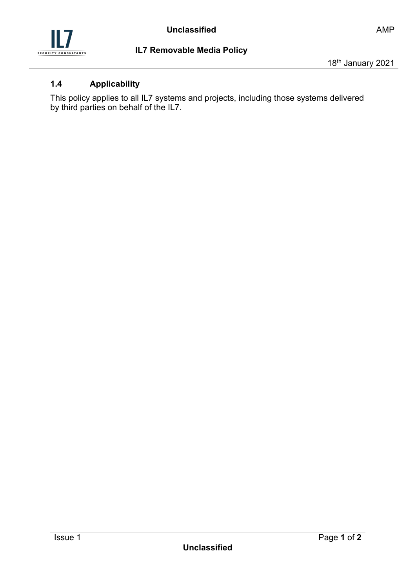

### <span id="page-3-0"></span>**1.4 Applicability**

This policy applies to all IL7 systems and projects, including those systems delivered by third parties on behalf of the IL7.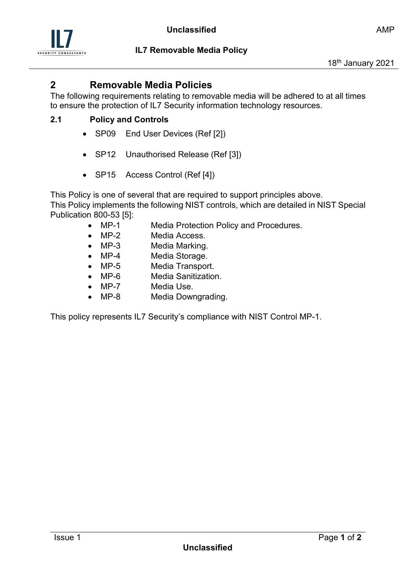

### <span id="page-4-0"></span>**2 Removable Media Policies**

The following requirements relating to removable media will be adhered to at all times to ensure the protection of IL7 Security information technology resources.

### <span id="page-4-1"></span>**2.1 Policy and Controls**

- SP09 End User Devices (Ref [2])
- SP12 Unauthorised Release (Ref [3])
- SP15 Access Control (Ref [4])

This Policy is one of several that are required to support principles above. This Policy implements the following NIST controls, which are detailed in NIST Special Publication 800-53 [5]:

- MP-1 Media Protection Policy and Procedures.
- MP-2 Media Access.
- MP-3 Media Marking.
- MP-4 Media Storage.
- MP-5 Media Transport.
- MP-6 Media Sanitization.
- MP-7 Media Use.
- MP-8 Media Downgrading.

This policy represents IL7 Security's compliance with NIST Control MP-1.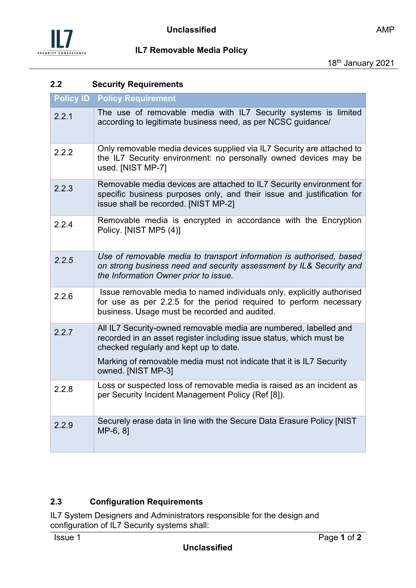

### <span id="page-5-0"></span>**2.2 Security Requirements**

| <b>Policy ID</b> | <b>Policy Requirement</b>                                                                                                                                                                    |
|------------------|----------------------------------------------------------------------------------------------------------------------------------------------------------------------------------------------|
| 2.2.1            | The use of removable media with IL7 Security systems is limited<br>according to legitimate business need, as per NCSC guidance/                                                              |
| 2.2.2            | Only removable media devices supplied via IL7 Security are attached to<br>the IL7 Security environment: no personally owned devices may be<br>used. [NIST MP-7]                              |
| 2.2.3            | Removable media devices are attached to IL7 Security environment for<br>specific business purposes only, and their issue and justification for<br>issue shall be recorded. [NIST MP-2]       |
| 2.2.4            | Removable media is encrypted in accordance with the Encryption<br>Policy. [NIST MP5 (4)]                                                                                                     |
| 2.2.5            | Use of removable media to transport information is authorised, based<br>on strong business need and security assessment by IL& Security and<br>the Information Owner prior to issue.         |
| 2.2.6            | Issue removable media to named individuals only, explicitly authorised<br>for use as per 2.2.5 for the period required to perform necessary<br>business. Usage must be recorded and audited. |
| 2.2.7            | All IL7 Security-owned removable media are numbered, labelled and<br>recorded in an asset register including issue status, which must be<br>checked regularly and kept up to date.           |
|                  | Marking of removable media must not indicate that it is IL7 Security<br>owned. [NIST MP-3]                                                                                                   |
| 2.2.8            | Loss or suspected loss of removable media is raised as an incident as<br>per Security Incident Management Policy (Ref [8]).                                                                  |
| 2.2.9            | Securely erase data in line with the Secure Data Erasure Policy [NIST<br>MP-6, 81                                                                                                            |

### <span id="page-5-1"></span>**2.3 Configuration Requirements**

IL7 System Designers and Administrators responsible for the design and configuration of IL7 Security systems shall: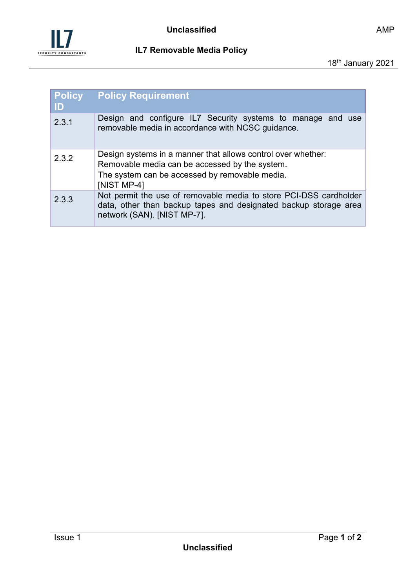

| <b>Policy</b><br>ID | <b>Policy Requirement</b>                                                                                                                                                       |
|---------------------|---------------------------------------------------------------------------------------------------------------------------------------------------------------------------------|
| 2.3.1               | Design and configure IL7 Security systems to manage and use<br>removable media in accordance with NCSC guidance.                                                                |
| 2.3.2               | Design systems in a manner that allows control over whether:<br>Removable media can be accessed by the system.<br>The system can be accessed by removable media.<br>[NIST MP-4] |
| 2.3.3               | Not permit the use of removable media to store PCI-DSS cardholder<br>data, other than backup tapes and designated backup storage area<br>network (SAN). [NIST MP-7].            |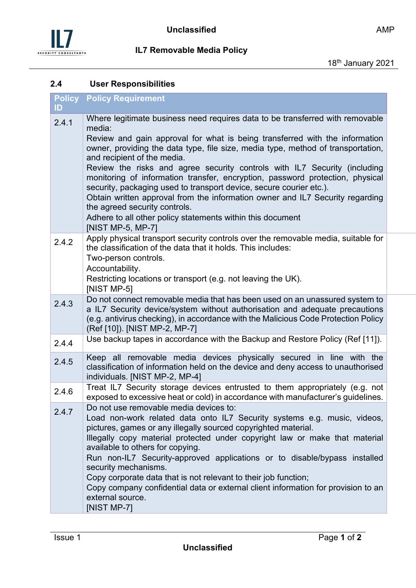

### <span id="page-7-0"></span>**2.4 User Responsibilities**

| ID    | <b>Policy Policy Requirement</b>                                                                                                                                                                                                                                                                                                                                                                                                                                                                                                                                                                                                                                                                                                    |
|-------|-------------------------------------------------------------------------------------------------------------------------------------------------------------------------------------------------------------------------------------------------------------------------------------------------------------------------------------------------------------------------------------------------------------------------------------------------------------------------------------------------------------------------------------------------------------------------------------------------------------------------------------------------------------------------------------------------------------------------------------|
| 2.4.1 | Where legitimate business need requires data to be transferred with removable<br>media:<br>Review and gain approval for what is being transferred with the information<br>owner, providing the data type, file size, media type, method of transportation,<br>and recipient of the media.<br>Review the risks and agree security controls with IL7 Security (including<br>monitoring of information transfer, encryption, password protection, physical<br>security, packaging used to transport device, secure courier etc.).<br>Obtain written approval from the information owner and IL7 Security regarding<br>the agreed security controls.<br>Adhere to all other policy statements within this document<br>[NIST MP-5, MP-7] |
| 2.4.2 | Apply physical transport security controls over the removable media, suitable for<br>the classification of the data that it holds. This includes:<br>Two-person controls.<br>Accountability.<br>Restricting locations or transport (e.g. not leaving the UK).<br>[NIST MP-5]                                                                                                                                                                                                                                                                                                                                                                                                                                                        |
| 2.4.3 | Do not connect removable media that has been used on an unassured system to<br>a IL7 Security device/system without authorisation and adequate precautions<br>(e.g. antivirus checking), in accordance with the Malicious Code Protection Policy<br>(Ref [10]). [NIST MP-2, MP-7]                                                                                                                                                                                                                                                                                                                                                                                                                                                   |
| 2.4.4 | Use backup tapes in accordance with the Backup and Restore Policy (Ref [11]).                                                                                                                                                                                                                                                                                                                                                                                                                                                                                                                                                                                                                                                       |
| 2.4.5 | Keep all removable media devices physically secured in line with the<br>classification of information held on the device and deny access to unauthorised<br>individuals. [NIST MP-2, MP-4]                                                                                                                                                                                                                                                                                                                                                                                                                                                                                                                                          |
| 2.4.6 | Treat IL7 Security storage devices entrusted to them appropriately (e.g. not<br>exposed to excessive heat or cold) in accordance with manufacturer's guidelines.                                                                                                                                                                                                                                                                                                                                                                                                                                                                                                                                                                    |
| 2.4.7 | Do not use removable media devices to:<br>Load non-work related data onto IL7 Security systems e.g. music, videos,<br>pictures, games or any illegally sourced copyrighted material.<br>Illegally copy material protected under copyright law or make that material<br>available to others for copying.<br>Run non-IL7 Security-approved applications or to disable/bypass installed<br>security mechanisms.<br>Copy corporate data that is not relevant to their job function;<br>Copy company confidential data or external client information for provision to an<br>external source.<br>[NIST MP-7]                                                                                                                             |